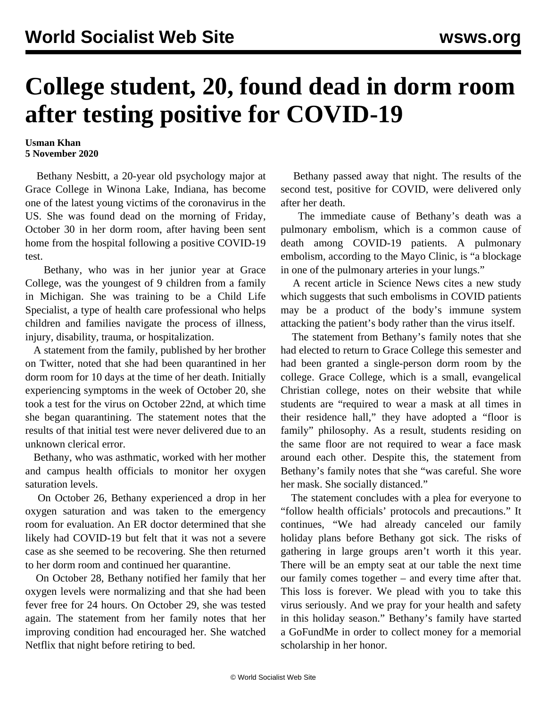## **College student, 20, found dead in dorm room after testing positive for COVID-19**

## **Usman Khan 5 November 2020**

 Bethany Nesbitt, a 20-year old psychology major at Grace College in Winona Lake, Indiana, has become one of the latest young victims of the coronavirus in the US. She was found dead on the morning of Friday, October 30 in her dorm room, after having been sent home from the hospital following a positive COVID-19 test.

 Bethany, who was in her junior year at Grace College, was the youngest of 9 children from a family in Michigan. She was training to be a Child Life Specialist, a type of health care professional who helps children and families navigate the process of illness, injury, disability, trauma, or hospitalization.

 A [statement](https://twitter.com/stephenjnesbitt/status/1323666185611862016) from the family, published by her brother on Twitter, noted that she had been quarantined in her dorm room for 10 days at the time of her death. Initially experiencing symptoms in the week of October 20, she took a test for the virus on October 22nd, at which time she began quarantining. The statement notes that the results of that initial test were never delivered due to an unknown clerical error.

 Bethany, who was asthmatic, worked with her mother and campus health officials to monitor her oxygen saturation levels.

 On October 26, Bethany experienced a drop in her oxygen saturation and was taken to the emergency room for evaluation. An ER doctor determined that she likely had COVID-19 but felt that it was not a severe case as she seemed to be recovering. She then returned to her dorm room and continued her quarantine.

 On October 28, Bethany notified her family that her oxygen levels were normalizing and that she had been fever free for 24 hours. On October 29, she was tested again. The statement from her family notes that her improving condition had encouraged her. She watched Netflix that night before retiring to bed.

 Bethany passed away that night. The results of the second test, positive for COVID, were delivered only after her death.

 The immediate cause of Bethany's death was a pulmonary embolism, which is a common cause of death among COVID-19 patients. A pulmonary embolism, according to the Mayo Clinic, is "a blockage in one of the pulmonary arteries in your lungs."

 A recent [article](https://www.sciencenews.org/article/coronavirus-covid-19-dangerous-blood-clots) in Science News cites a new study which suggests that such embolisms in COVID patients may be a product of the body's immune system attacking the patient's body rather than the virus itself.

 The statement from Bethany's family notes that she had elected to return to Grace College this semester and had been granted a single-person dorm room by the college. Grace College, which is a small, evangelical Christian college, notes on their website that while students are "required to wear a mask at all times in their residence hall," they have adopted a "floor is family" philosophy. As a result, students residing on the same floor are not required to wear a face mask around each other. Despite this, the statement from Bethany's family notes that she "was careful. She wore her mask. She socially distanced."

 The statement concludes with a plea for everyone to "follow health officials' protocols and precautions." It continues, "We had already canceled our family holiday plans before Bethany got sick. The risks of gathering in large groups aren't worth it this year. There will be an empty seat at our table the next time our family comes together – and every time after that. This loss is forever. We plead with you to take this virus seriously. And we pray for your health and safety in this holiday season." Bethany's family have started a [GoFundMe](https://www.gofundme.com/f/bethany-nesbitt-memorial-scholarship-fund) in order to collect money for a memorial scholarship in her honor.